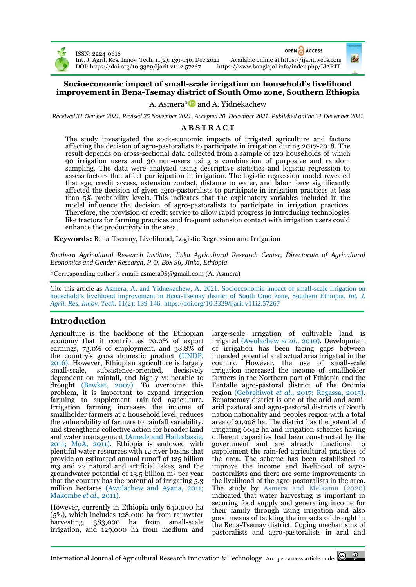

ISSN: 2224-0616

OPEN ACCESS

Int. J. Agril. Res. Innov. Tech. 11(2): 139-146, Dec 2021 Available online a[t https://ijarit.webs.com](http://ijarit.webs.com/) DOI[: https://doi.org/10.3329/ijarit.v11i2.57267](https://doi.org/10.3329/ijarit.v11i2.57267)

## **Socioeconomic impact of small-scale irrigation on household's livelihood improvement in Bena-Tsemay district of South Omo zone, Southern Ethiopia**

A. Asmera $*$  and A. Yidnekachew

*Received 31 October 2021, Revised 25 November 2021, Accepted 20 December 2021, Published online 31 December 2021*

# **A B S T R A C T**

The study investigated the socioeconomic impacts of irrigated agriculture and factors affecting the decision of agro-pastoralists to participate in irrigation during 2017-2018. The result depends on cross-sectional data collected from a sample of 120 households of which 90 irrigation users and 30 non-users using a combination of purposive and random sampling. The data were analyzed using descriptive statistics and logistic regression to assess factors that affect participation in irrigation. The logistic regression model revealed that age, credit access, extension contact, distance to water, and labor force significantly affected the decision of given agro-pastoralists to participate in irrigation practices at less than 5% probability levels. This indicates that the explanatory variables included in the model influence the decision of agro-pastoralists to participate in irrigation practices. Therefore, the provision of credit service to allow rapid progress in introducing technologies like tractors for farming practices and frequent extension contact with irrigation users could enhance the productivity in the area.

**Keywords:** Bena-Tsemay, Livelihood, Logistic Regression and Irrigation

*Southern Agricultural Research Institute, Jinka Agricultural Research Center, Directorate of Agricultural Economics and Gender Research, P.O. Box 96, Jinka, Ethiopia*

\*Corresponding author's email[: asmera05@gmail.com](mailto:asmera05@gmail.com) (A. Asmera)

Cite this article as Asmera, A. and Yidnekachew, A. 2021. Socioeconomic impact of small-scale irrigation on household's livelihood improvement in Bena-Tsemay district of South Omo zone, Southern Ethiopia. *Int. J. Agril. Res. Innov. Tech.* 11(2): 139-146. <https://doi.org/10.3329/ijarit.v11i2.57267>

# **Introduction**

Agriculture is the backbone of the Ethiopian economy that it contributes 70.0% of export earnings, 73.0% of employment, and 38.8% of the country's gross domestic product (UNDP, 2016). However, Ethiopian agriculture is largely small-scale, subsistence-oriented, decisively dependent on rainfall, and highly vulnerable to drought (Bewket, 2007). To overcome this problem, it is important to expand irrigation farming to supplement rain-fed agriculture. Irrigation farming increases the income of smallholder farmers at a household level, reduces the vulnerability of farmers to rainfall variability, and strengthens collective action for broader land and water management (Amede and Haileslassie, 2011; MoA, 2011). Ethiopia is endowed with plentiful water resources with 12 river basins that provide an estimated annual runoff of 125 billion m3 and 22 natural and artificial lakes, and the groundwater potential of 13.5 billion m<sup>3</sup> per year that the country has the potential of irrigating 5.3 million hectares (Awulachew and Ayana, 2011; Makombe *et al.,* 2011).

However, currently in Ethiopia only 640,000 ha (5%), which includes 128,000 ha from rainwater harvesting, 383,000 ha from small-scale irrigation, and 129,000 ha from medium and large-scale irrigation of cultivable land is irrigated (Awulachew *et al.,* 2010). Development of irrigation has been facing gaps between intended potential and actual area irrigated in the country. However, the use of small-scale irrigation increased the income of smallholder farmers in the Northern part of Ethiopia and the Fentalle agro-pastoral district of the Oromia region (Gebrehiwot *et al.,* 2017; Regassa, 2015). Benatsemay district is one of the arid and semiarid pastoral and agro-pastoral districts of South nation nationality and peoples region with a total area of 21,908 ha. The district has the potential of irrigating 6042 ha and irrigation schemes having different capacities had been constructed by the government and are already functional to supplement the rain-fed agricultural practices of the area. The scheme has been established to improve the income and livelihood of agropastoralists and there are some improvements in the livelihood of the agro-pastoralists in the area. The study by Asmera and Melkamu (2020) indicated that water harvesting is important in securing food supply and generating income for their family through using irrigation and also good means of tackling the impacts of drought in the Bena-Tsemay district. Coping mechanisms of pastoralists and agro-pastoralists in arid and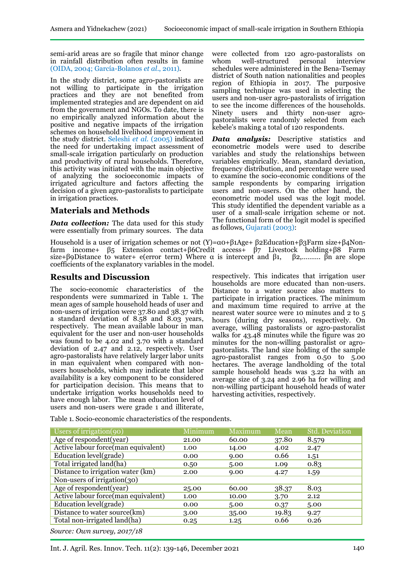semi-arid areas are so fragile that minor change in rainfall distribution often results in famine (OIDA, 2004; García-Bolanos *et al*., 2011).

In the study district, some agro-pastoralists are not willing to participate in the irrigation practices and they are not benefited from implemented strategies and are dependent on aid from the government and NGOs. To date, there is no empirically analyzed information about the positive and negative impacts of the irrigation schemes on household livelihood improvement in the study district. Seleshi *et al.* (2005) indicated the need for undertaking impact assessment of small-scale irrigation particularly on production and productivity of rural households. Therefore, this activity was initiated with the main objective of analyzing the socioeconomic impacts of irrigated agriculture and factors affecting the decision of a given agro-pastoralists to participate in irrigation practices.

# **Materials and Methods**

*Data collection:* The data used for this study were essentially from primary sources. The data

Household is a user of irrigation schemes or not (Y)=α0+β1Age+ β2Education+β3Farm size+β4Nonfarm income+ β5 Extension contact+β6Credit access+ β7 Livestock holding+β8 Farm size+β9Distance to water+ e(error term) Where  $\alpha$  is intercept and  $\beta_1$ ,  $\beta_2$ ,  $\beta_3$ ,  $\beta_4$  are slope coefficients of the explanatory variables in the model.

# **Results and Discussion**

The socio-economic characteristics of the respondents were summarized in Table 1. The mean ages of sample household heads of user and non-users of irrigation were 37.80 and 38.37 with a standard deviation of 8.58 and 8.03 years, respectively. The mean available labour in man equivalent for the user and non-user households was found to be 4.02 and 3.70 with a standard deviation of 2.47 and 2.12, respectively. User agro-pastoralists have relatively larger labor units in man equivalent when compared with nonusers households, which may indicate that labor availability is a key component to be considered for participation decision. This means that to undertake irrigation works households need to have enough labor. The mean education level of users and non-users were grade 1 and illiterate,

were collected from 120 agro-pastoralists on<br>whom well-structured personal interview whom well-structured schedules were administered in the Bena-Tsemay district of South nation nationalities and peoples region of Ethiopia in 2017. The purposive sampling technique was used in selecting the users and non-user agro-pastoralists of irrigation to see the income differences of the households. Ninety users and thirty non-user agropastoralists were randomly selected from each kebele's making a total of 120 respondents.

*Data analysis:* Descriptive statistics and econometric models were used to describe variables and study the relationships between variables empirically. Mean, standard deviation, frequency distribution, and percentage were used to examine the socio-economic conditions of the sample respondents by comparing irrigation users and non-users. On the other hand, the econometric model used was the logit model. This study identified the dependent variable as a user of a small-scale irrigation scheme or not. The functional form of the logit model is specified as follows, Gujarati (2003):

respectively. This indicates that irrigation user households are more educated than non-users. Distance to a water source also matters to participate in irrigation practices. The minimum and maximum time required to arrive at the nearest water source were 10 minutes and 2 to 5 hours (during dry seasons), respectively. On average, willing pastoralists or agro-pastoralist walks for 43.48 minutes while the figure was 20 minutes for the non-willing pastoralist or agropastoralists. The land size holding of the sample agro-pastoralist ranges from 0.50 to 5.00 hectares. The average landholding of the total sample household heads was 3.22 ha with an average size of 3.24 and 2.96 ha for willing and non-willing participant household heads of water harvesting activities, respectively.

Table 1. Socio-economic characteristics of the respondents.

| Users of irrigation(90)             | Minimum | Maximum | Mean  | <b>Std. Deviation</b> |
|-------------------------------------|---------|---------|-------|-----------------------|
| Age of respondent (year)            | 21.00   | 60.00   | 37.80 | 8.579                 |
| Active labour force(man equivalent) | 1.00    | 14.00   | 4.02  | 2.47                  |
| Education level(grade)              | 0.00    | 9.00    | 0.66  | 1.51                  |
| Total irrigated land(ha)            | 0.50    | 5.00    | 1.09  | 0.83                  |
| Distance to irrigation water (km)   | 2.00    | 9.00    | 4.27  | 1.59                  |
| Non-users of irrigation $(30)$      |         |         |       |                       |
| Age of respondent (year)            | 25.00   | 60.00   | 38.37 | 8.03                  |
| Active labour force(man equivalent) | 1.00    | 10.00   | 3.70  | 2.12                  |
| Education level(grade)              | 0.00    | 5.00    | 0.37  | 5.00                  |
| Distance to water source(km)        | 3.00    | 35.00   | 19.83 | 9.27                  |
| Total non-irrigated land(ha)        | 0.25    | 1.25    | 0.66  | 0.26                  |

*Source: Own survey, 2017/18*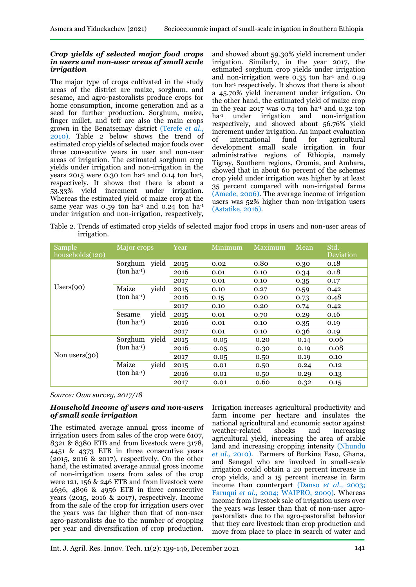#### *Crop yields of selected major food crops in users and non-user areas of small scale irrigation*

The major type of crops cultivated in the study areas of the district are maize, sorghum, and sesame, and agro-pastoralists produce crops for home consumption, income generation and as a seed for further production. Sorghum, maize, finger millet, and teff are also the main crops grown in the Benatsemay district (Terefe *et al*., 2010). Table 2 below shows the trend of estimated crop yields of selected major foods over three consecutive years in user and non-user areas of irrigation. The estimated sorghum crop yields under irrigation and non-irrigation in the years 2015 were 0.30 ton  $ha^{-1}$  and 0.14 ton  $ha^{-1}$ , respectively. It shows that there is about a 53.33% yield increment under irrigation. Whereas the estimated yield of maize crop at the same year was  $0.59$  ton ha<sup>-1</sup> and  $0.24$  ton ha<sup>-1</sup> under irrigation and non-irrigation, respectively,

and showed about 59.30% yield increment under irrigation. Similarly, in the year 2017, the estimated sorghum crop yields under irrigation and non-irrigation were  $0.35$  ton ha<sup>-1</sup> and  $0.19$ ton ha-1 respectively. It shows that there is about a 45.70% yield increment under irrigation. On the other hand, the estimated yield of maize crop in the year 2017 was 0.74 ton ha<sup>-1</sup> and 0.32 ton ha-1 under irrigation and non-irrigation respectively, and showed about 56.76% yield increment under irrigation. An impact evaluation of international fund for agricultural development small scale irrigation in four administrative regions of Ethiopia, namely Tigray, Southern regions, Oromia, and Amhara, showed that in about 60 percent of the schemes crop yield under irrigation was higher by at least 35 percent compared with non-irrigated farms (Amede, 2006). The average income of irrigation users was 52% higher than non-irrigation users (Astatike, 2016).

Table 2. Trends of estimated crop yields of selected major food crops in users and non-user areas of irrigation.

| Sample<br>households(120) | Major crops         |       | Year | Minimum | Maximum | Mean | Std.<br>Deviation |
|---------------------------|---------------------|-------|------|---------|---------|------|-------------------|
|                           | Sorghum             | yield | 2015 | 0.02    | 0.80    | 0.30 | 0.18              |
|                           | $(\text{ton ha-1})$ |       | 2016 | 0.01    | 0.10    | 0.34 | 0.18              |
|                           |                     |       | 2017 | 0.01    | 0.10    | 0.35 | 0.17              |
| Users(90)                 | Maize               | yield | 2015 | 0.10    | 0.27    | 0.59 | 0.42              |
|                           | $(ton ha-1)$        |       | 2016 | 0.15    | 0.20    | 0.73 | 0.48              |
|                           |                     |       | 2017 | 0.10    | 0.20    | 0.74 | 0.42              |
|                           | Sesame              | yield | 2015 | 0.01    | 0.70    | 0.29 | 0.16              |
|                           | $(\text{ton ha-1})$ |       | 2016 | 0.01    | 0.10    | 0.35 | 0.19              |
|                           |                     |       | 2017 | 0.01    | 0.10    | 0.36 | 0.19              |
| Non users $(30)$          | Sorghum             | yield | 2015 | 0.05    | 0.20    | 0.14 | 0.06              |
|                           | $(ton ha^{-1})$     |       | 2016 | 0.05    | 0.30    | 0.19 | 0.08              |
|                           |                     |       | 2017 | 0.05    | 0.50    | 0.19 | 0.10              |
|                           | Maize               | yield | 2015 | 0.01    | 0.50    | 0.24 | 0.12              |
|                           | $(\text{ton ha-1})$ |       | 2016 | 0.01    | 0.50    | 0.29 | 0.13              |
|                           |                     |       | 2017 | 0.01    | 0.60    | 0.32 | 0.15              |

*Source: Own survey, 2017/18*

#### *Household Income of users and non-users of small scale irrigation*

The estimated average annual gross income of irrigation users from sales of the crop were 6107, 8321 & 8380 ETB and from livestock were 3178, 4451 & 4373 ETB in three consecutive years (2015, 2016 & 2017), respectively. On the other hand, the estimated average annual gross income of non-irrigation users from sales of the crop were 121, 156 & 246 ETB and from livestock were 4636, 4896 & 4956 ETB in three consecutive years (2015, 2016 & 2017), respectively. Income from the sale of the crop for irrigation users over the years was far higher than that of non-user agro-pastoralists due to the number of cropping per year and diversification of crop production.

Irrigation increases agricultural productivity and farm income per hectare and insulates the national agricultural and economic sector against weather-related shocks and increasing agricultural yield, increasing the area of arable land and increasing cropping intensity (Nhundu *et al.,* 2010). Farmers of Burkina Faso, Ghana, and Senegal who are involved in small-scale irrigation could obtain a 20 percent increase in crop yields, and a 15 percent increase in farm income than counterpart (Danso *et al.,* 2003; Faruqui *et al.,* 2004; WAIPRO, 2009). Whereas income from livestock sale of irrigation users over the years was lesser than that of non-user agropastoralists due to the agro-pastoralist behavior that they care livestock than crop production and move from place to place in search of water and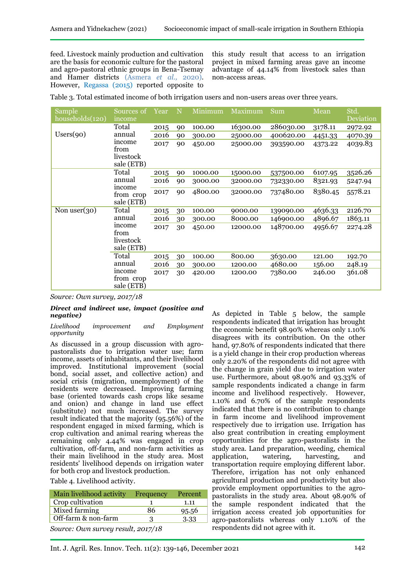feed. Livestock mainly production and cultivation are the basis for economic culture for the pastoral and agro-pastoral ethnic groups in Bena-Tsemay and Hamer districts (Asmera *et al.,* 2020). However, Regassa (2015) reported opposite to

this study result that access to an irrigation project in mixed farming areas gave an income advantage of 44.14% from livestock sales than non-access areas.

Table 3. Total estimated income of both irrigation users and non-users areas over three years.

| Sample<br>households(120)                   | Sources of<br>income                      | Year | N      | Minimum  | Maximum   | Sum       | Mean    | Std.<br>Deviation |
|---------------------------------------------|-------------------------------------------|------|--------|----------|-----------|-----------|---------|-------------------|
|                                             | Total                                     | 2015 | 90     | 100.00   | 16300.00  | 286030.00 | 3178.11 | 2972.92           |
| Users(90)                                   | annual                                    | 2016 | 90     | 300.00   | 25000.00  | 400620.00 | 4451.33 | 4070.39           |
|                                             | income<br>from<br>livestock<br>sale (ETB) | 2017 | 90     | 450.00   | 25000.00  | 393590.00 | 4373.22 | 4039.83           |
|                                             | Total                                     | 2015 | 90     | 1000.00  | 15000.00  | 537500.00 | 6107.95 | 3526.26           |
|                                             | annual                                    | 2016 | 90     | 3000.00  | 32000.00  | 732330.00 | 8321.93 | 5247.94           |
| income                                      | from crop<br>sale (ETB)                   | 2017 | 90     | 4800.00  | 32000.00  | 737480.00 | 8380.45 | 5578.21           |
| Non user $(30)$                             | Total                                     | 2015 | 30     | 100.00   | 9000.00   | 139090.00 | 4636.33 | 2126.70           |
|                                             | annual                                    | 2016 | 30     | 300.00   | 8000.00   | 146900.00 | 4896.67 | 1863.11           |
| income<br>from<br>livestock<br>sale (ETB)   | 2017                                      | 30   | 450.00 | 12000.00 | 148700.00 | 4956.67   | 2274.28 |                   |
|                                             | Total                                     | 2015 | 30     | 100.00   | 800.00    | 3630.00   | 121.00  | 192.70            |
| annual<br>income<br>from crop<br>sale (ETB) | 2016                                      | 30   | 300.00 | 1200.00  | 4680.00   | 156.00    | 248.19  |                   |
|                                             |                                           | 2017 | 30     | 420.00   | 1200.00   | 7380.00   | 246.00  | 361.08            |

*Source: Own survey, 2017/18*

#### *Direct and indirect use, impact (positive and negative)*

#### *Livelihood improvement and Employment opportunity*

As discussed in a group discussion with agropastoralists due to irrigation water use; farm income, assets of inhabitants, and their livelihood improved. Institutional improvement (social bond, social asset, and collective action) and social crisis (migration, unemployment) of the residents were decreased. Improving farming base (oriented towards cash crops like sesame and onion) and change in land use effect (substitute) not much increased. The survey result indicated that the majority (95.56%) of the respondent engaged in mixed farming, which is crop cultivation and animal rearing whereas the remaining only 4.44% was engaged in crop cultivation, off-farm, and non-farm activities as their main livelihood in the study area. Most residents' livelihood depends on irrigation water for both crop and livestock production.

Table 4. Livelihood activity.

| Main livelihood activity | Frequency                                      | Percent |
|--------------------------|------------------------------------------------|---------|
| Crop cultivation         |                                                | 1.11    |
| Mixed farming            | 86                                             | 95.56   |
| Off-farm & non-farm      | 3                                              | 3.33    |
| $\sim$                   | $\mathbf{1} \cdot \mathbf{1} \cdot \mathbf{1}$ |         |

*Source: Own survey result, 2017/18*

As depicted in Table 5 below, the sample respondents indicated that irrigation has brought the economic benefit 98.90% whereas only 1.10% disagrees with its contribution. On the other hand, 97.80% of respondents indicated that there is a yield change in their crop production whereas only 2.20% of the respondents did not agree with the change in grain yield due to irrigation water use. Furthermore, about 98.90% and 93.33% of sample respondents indicated a change in farm income and livelihood respectively. However, 1.10% and 6.70% of the sample respondents indicated that there is no contribution to change in farm income and livelihood improvement respectively due to irrigation use. Irrigation has also great contribution in creating employment opportunities for the agro-pastoralists in the study area. Land preparation, weeding, chemical application, watering, harvesting, and transportation require employing different labor. Therefore, irrigation has not only enhanced agricultural production and productivity but also provide employment opportunities to the agropastoralists in the study area. About 98.90% of the sample respondent indicated that the irrigation access created job opportunities for agro-pastoralists whereas only 1.10% of the respondents did not agree with it.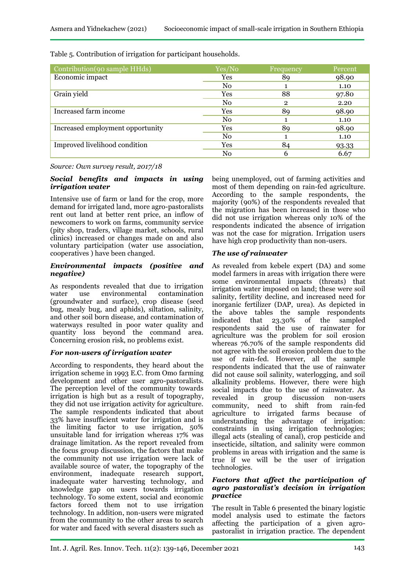| Contribution (90 sample HHds)    | Yes/No         | Frequency      | Percent |
|----------------------------------|----------------|----------------|---------|
| Economic impact                  | Yes            | 89             | 98.90   |
|                                  | No.            |                | 1.10    |
| Grain yield                      | Yes            | 88             | 97.80   |
|                                  | $\rm No$       | $\overline{2}$ | 2.20    |
| Increased farm income            | Yes            | 89             | 98.90   |
|                                  | N <sub>0</sub> |                | 1.10    |
| Increased employment opportunity | Yes            | 89             | 98.90   |
|                                  | $\rm No$       |                | 1.10    |
| Improved livelihood condition    | Yes            | 84             | 93.33   |
|                                  | No             | h              | 6.67    |

Table 5. Contribution of irrigation for participant households.

*Source: Own survey result, 2017/18*

#### *Social benefits and impacts in using irrigation water*

Intensive use of farm or land for the crop, more demand for irrigated land, more agro-pastoralists rent out land at better rent price, an inflow of newcomers to work on farms, community service (pity shop, traders, village market, schools, rural clinics) increased or changes made on and also voluntary participation (water use association, cooperatives ) have been changed.

#### *Environmental impacts (positive and negative)*

As respondents revealed that due to irrigation<br>water use environmental contamination water use environmental contamination (groundwater and surface), crop disease (seed bug, mealy bug, and aphids), siltation, salinity, and other soil born disease, and contamination of waterways resulted in poor water quality and quantity loss beyond the command area. Concerning erosion risk, no problems exist.

## *For non-users of irrigation water*

According to respondents, they heard about the irrigation scheme in 1993 E.C. from Omo farming development and other user agro-pastoralists. The perception level of the community towards irrigation is high but as a result of topography, they did not use irrigation activity for agriculture. The sample respondents indicated that about 33% have insufficient water for irrigation and is the limiting factor to use irrigation, 50% unsuitable land for irrigation whereas 17% was drainage limitation. As the report revealed from the focus group discussion, the factors that make the community not use irrigation were lack of available source of water, the topography of the environment, inadequate research support, inadequate water harvesting technology, and knowledge gap on users towards irrigation technology. To some extent, social and economic factors forced them not to use irrigation technology. In addition, non-users were migrated from the community to the other areas to search for water and faced with several disasters such as

being unemployed, out of farming activities and most of them depending on rain-fed agriculture. According to the sample respondents, the majority (90%) of the respondents revealed that the migration has been increased in those who did not use irrigation whereas only 10% of the respondents indicated the absence of irrigation was not the case for migration. Irrigation users have high crop productivity than non-users.

# *The use of rainwater*

As revealed from kebele expert (DA) and some model farmers in areas with irrigation there were some environmental impacts (threats) that irrigation water imposed on land; these were soil salinity, fertility decline, and increased need for inorganic fertilizer (DAP, urea). As depicted in the above tables the sample respondents indicated that 23.30% of the sampled respondents said the use of rainwater for agriculture was the problem for soil erosion whereas 76.70% of the sample respondents did not agree with the soil erosion problem due to the use of rain-fed. However, all the sample respondents indicated that the use of rainwater did not cause soil salinity, waterlogging, and soil alkalinity problems. However, there were high social impacts due to the use of rainwater. As revealed in group discussion non-users community, need to shift from rain-fed agriculture to irrigated farms because of understanding the advantage of irrigation: constraints in using irrigation technologies; illegal acts (stealing of canal), crop pesticide and insecticide, siltation, and salinity were common problems in areas with irrigation and the same is true if we will be the user of irrigation technologies.

### *Factors that affect the participation of agro pastoralist's decision in irrigation practice*

The result in Table 6 presented the binary logistic model analysis used to estimate the factors affecting the participation of a given agropastoralist in irrigation practice. The dependent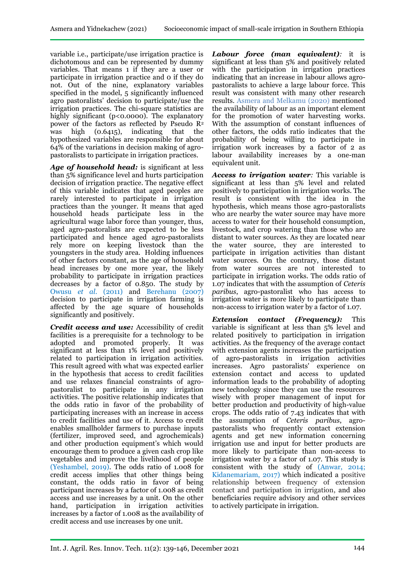variable i.e., participate/use irrigation practice is dichotomous and can be represented by dummy variables. That means 1 if they are a user or participate in irrigation practice and 0 if they do not. Out of the nine, explanatory variables specified in the model, 5 significantly influenced agro pastoralists' decision to participate/use the irrigation practices. The chi-square statistics are highly significant (p<0.0000). The explanatory power of the factors as reflected by Pseudo R<sup>2</sup> was high (0.6415), indicating that the hypothesized variables are responsible for about 64% of the variations in decision making of agropastoralists to participate in irrigation practices.

*Age of household head:* is significant at less than 5% significance level and hurts participation decision of irrigation practice. The negative effect of this variable indicates that aged peoples are rarely interested to participate in irrigation practices than the younger. It means that aged household heads participate less in the agricultural wage labor force than younger, thus, aged agro-pastoralists are expected to be less participated and hence aged agro-pastoralists rely more on keeping livestock than the youngsters in the study area. Holding influences of other factors constant, as the age of household head increases by one more year, the likely probability to participate in irrigation practices decreases by a factor of 0.850. The study by Owusu *et al.* (2011) and Berehanu (2007) decision to participate in irrigation farming is affected by the age square of households significantly and positively.

*Credit access and use:* Accessibility of credit facilities is a prerequisite for a technology to be adopted and promoted properly. It was significant at less than 1% level and positively related to participation in irrigation activities. This result agreed with what was expected earlier in the hypothesis that access to credit facilities and use relaxes financial constraints of agropastoralist to participate in any irrigation activities. The positive relationship indicates that the odds ratio in favor of the probability of participating increases with an increase in access to credit facilities and use of it. Access to credit enables smallholder farmers to purchase inputs (fertilizer, improved seed, and agrochemicals) and other production equipment's which would encourage them to produce a given cash crop like vegetables and improve the livelihood of people (Yeshambel, 2019). The odds ratio of 1.008 for credit access implies that other things being constant, the odds ratio in favor of being participant increases by a factor of 1.008 as credit access and use increases by a unit. On the other hand, participation in irrigation activities increases by a factor of 1.008 as the availability of credit access and use increases by one unit.

*Labour force (man equivalent):* it is significant at less than 5% and positively related with the participation in irrigation practices indicating that an increase in labour allows agropastoralists to achieve a large labour force. This result was consistent with many other research results. Asmera and Melkamu (2020) mentioned the availability of labour as an important element for the promotion of water harvesting works. With the assumption of constant influences of other factors, the odds ratio indicates that the probability of being willing to participate in irrigation work increases by a factor of 2 as labour availability increases by a one-man equivalent unit.

*Access to irrigation water:* This variable is significant at less than 5% level and related positively to participation in irrigation works. The result is consistent with the idea in the hypothesis, which means those agro-pastoralists who are nearby the water source may have more access to water for their household consumption, livestock, and crop watering than those who are distant to water sources. As they are located near the water source, they are interested to participate in irrigation activities than distant water sources. On the contrary, those distant from water sources are not interested to participate in irrigation works. The odds ratio of 1.07 indicates that with the assumption of *Ceteris paribus*, agro-pastoralist who has access to irrigation water is more likely to participate than non-access to irrigation water by a factor of 1.07.

*Extension contact (Frequency):* This variable is significant at less than 5% level and related positively to participation in irrigation activities. As the frequency of the average contact with extension agents increases the participation of agro-pastoralists in irrigation activities increases. Agro pastoralists' experience on extension contact and access to updated information leads to the probability of adopting new technology since they can use the resources wisely with proper management of input for better production and productivity of high-value crops. The odds ratio of 7.43 indicates that with the assumption of *Ceteris paribus*, agropastoralists who frequently contact extension agents and get new information concerning irrigation use and input for better products are more likely to participate than non-access to irrigation water by a factor of 1.07. This study is consistent with the study of (Anwar, 2014; Kidanemariam, 2017) which indicated a positive relationship between frequency of extension contact and participation in irrigation, and also beneficiaries require advisory and other services to actively participate in irrigation.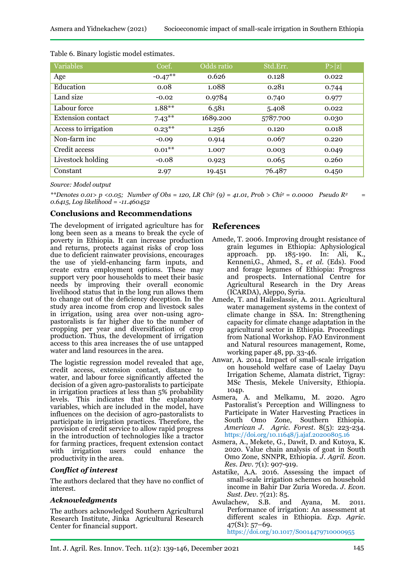| idnekachew (2021) | Socioeconomic impact of small-scale irrigation in Sou |  |
|-------------------|-------------------------------------------------------|--|
|                   |                                                       |  |

| Variables                | Coef.     | Odds ratio | Std.Err. | P >  z |
|--------------------------|-----------|------------|----------|--------|
| Age                      | $-0.47**$ | 0.626      | 0.128    | 0.022  |
| Education                | 0.08      | 1.088      | 0.281    | 0.744  |
| Land size                | $-0.02$   | 0.9784     | 0.740    | 0.977  |
| Labour force             | $1.88**$  | 6.581      | 5.408    | 0.022  |
| <b>Extension contact</b> | $7.43***$ | 1689.200   | 5787.700 | 0.030  |
| Access to irrigation     | $0.23***$ | 1.256      | 0.120    | 0.018  |
| Non-farm inc.            | $-0.09$   | 0.914      | 0.067    | 0.220  |
| Credit access            | $0.01***$ | 1.007      | 0.003    | 0.049  |
| Livestock holding        | $-0.08$   | 0.923      | 0.065    | 0.260  |
| Constant                 | 2.97      | 19.451     | 76.487   | 0.450  |

Table 6. Binary logistic model estimates.

*Source: Model output*

*\*\*Denotes 0.01> p <0.05; Number of Obs = 120, LR Chi<sup>2</sup> (9) = 41.01, Prob > Chi<sup>2</sup> = 0.0000 Pseudo R<sup>2</sup> = 0.6415, Log likelihood = -11.460452*

### **Conclusions and Recommendations**

The development of irrigated agriculture has for long been seen as a means to break the cycle of poverty in Ethiopia. It can increase production and returns, protects against risks of crop loss due to deficient rainwater provisions, encourages the use of yield-enhancing farm inputs, and create extra employment options. These may support very poor households to meet their basic needs by improving their overall economic livelihood status that in the long run allows them to change out of the deficiency deception. In the study area income from crop and livestock sales in irrigation, using area over non-using agropastoralists is far higher due to the number of cropping per year and diversification of crop production. Thus, the development of irrigation access to this area increases the of use untapped water and land resources in the area.

The logistic regression model revealed that age, credit access, extension contact, distance to water, and labour force significantly affected the decision of a given agro-pastoralists to participate in irrigation practices at less than 5% probability levels. This indicates that the explanatory variables, which are included in the model, have influences on the decision of agro-pastoralists to participate in irrigation practices. Therefore, the provision of credit service to allow rapid progress in the introduction of technologies like a tractor for farming practices, frequent extension contact with irrigation users could enhance the productivity in the area.

#### *Conflict of interest*

The authors declared that they have no conflict of interest.

#### *Acknowledgments*

The authors acknowledged Southern Agricultural Research Institute, Jinka Agricultural Research Center for financial support.

# **References**

- Amede, T. 2006. Improving drought resistance of grain legumes in Ethiopia: Aphysiological approach. pp. 185-190. In: Ali, K., Kenneni,G., Ahmed, S., *et al.* (Eds). Food and forage legumes of Ethiopia: Progress and prospects. International Centre for Agricultural Research in the Dry Areas (ICARDA), Aleppo, Syria.
- Amede, T. and Haileslassie, A. 2011. Agricultural water management systems in the context of climate change in SSA. In: Strengthening capacity for climate change adaptation in the agricultural sector in Ethiopia. Proceedings from National Workshop. FAO Environment and Natural resources management, Rome, working paper 48, pp. 33-46.
- Anwar, A. 2014. Impact of small-scale irrigation on household welfare case of Laelay Dayu Irrigation Scheme, Alamata district, Tigray: MSc Thesis, Mekele University, Ethiopia. 104p.
- Asmera, A. and Melkamu, M. 2020. Agro Pastoralist's Perception and Willingness to Participate in Water Harvesting Practices in South Omo Zone, Southern Ethiopia. *American J. Agric. Forest*. 8(5): 223-234. https://doi.org/10.11648/j.ajaf.20200805.16
- Asmera, A., Mekete, G., Dawit, D. and Kutoya, K. 2020. Value chain analysis of goat in South Omo Zone, SNNPR, Ethiopia. *J. Agril. Econ. Res. Dev.* 7(1): 907-919.
- Astatike, A.A. 2016. Assessing the impact of small-scale irrigation schemes on household income in Bahir Dar Zuria Woreda. *J. Econ.*
- *Sust. Dev.* 7(21): 85.<br>lachew, S.B. and Awulachew, S.B. and Ayana, M. 2011. Performance of irrigation: An assessment at different scales in Ethiopia. *Exp. Agric.* 47(S1): 57–69. <https://doi.org/10.1017/S0014479710000955>